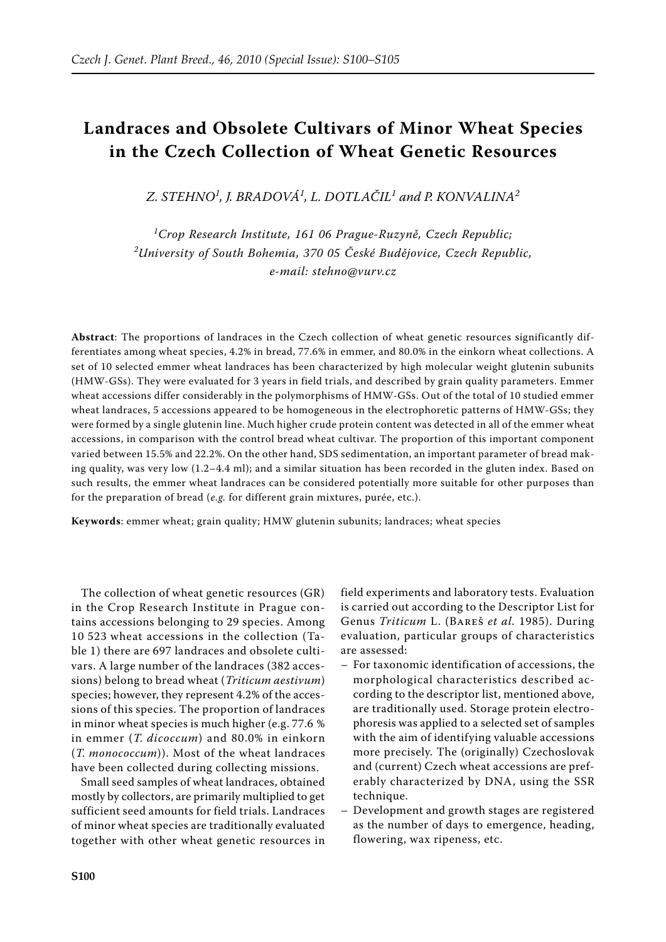# **Landraces and Obsolete Cultivars of Minor Wheat Species in the Czech Collection of Wheat Genetic Resources**

*Z. Stehno<sup>1</sup> , J. Bradová<sup>1</sup> , L. Dotlačil<sup>1</sup> and P. Konvalina<sup>2</sup>*

*1 Crop Research Institute, 161 06 Prague-Ruzyně, Czech Republic; 2 University of South Bohemia, 370 05 České Budějovice, Czech Republic, e-mail: stehno@vurv.cz*

**Abstract**: The proportions of landraces in the Czech collection of wheat genetic resources significantly differentiates among wheat species, 4.2% in bread, 77.6% in emmer, and 80.0% in the einkorn wheat collections. A set of 10 selected emmer wheat landraces has been characterized by high molecular weight glutenin subunits (HMW-GSs). They were evaluated for 3 years in field trials, and described by grain quality parameters. Emmer wheat accessions differ considerably in the polymorphisms of HMW-GSs. Out of the total of 10 studied emmer wheat landraces, 5 accessions appeared to be homogeneous in the electrophoretic patterns of HMW-GSs; they were formed by a single glutenin line. Much higher crude protein content was detected in all of the emmer wheat accessions, in comparison with the control bread wheat cultivar. The proportion of this important component varied between 15.5% and 22.2%. On the other hand, SDS sedimentation, an important parameter of bread making quality, was very low (1.2–4.4 ml); and a similar situation has been recorded in the gluten index. Based on such results, the emmer wheat landraces can be considered potentially more suitable for other purposes than for the preparation of bread (*e.g.* for different grain mixtures, purée, etc.).

**Keywords**: emmer wheat; grain quality; HMW glutenin subunits; landraces; wheat species

The collection of wheat genetic resources (GR) in the Crop Research Institute in Prague contains accessions belonging to 29 species. Among 10 523 wheat accessions in the collection (Table 1) there are 697 landraces and obsolete cultivars. A large number of the landraces (382 accessions) belong to bread wheat (*Triticum aestivum*) species; however, they represent 4.2% of the accessions of this species. The proportion of landraces in minor wheat species is much higher (e.g. 77.6 % in emmer (*T. dicoccum*) and 80.0% in einkorn (*T. monococcum*)). Most of the wheat landraces have been collected during collecting missions.

Small seed samples of wheat landraces, obtained mostly by collectors, are primarily multiplied to get sufficient seed amounts for field trials. Landraces of minor wheat species are traditionally evaluated together with other wheat genetic resources in

field experiments and laboratory tests. Evaluation is carried out according to the Descriptor List for Genus *Triticum* L. (Bareš *et al.* 1985). During evaluation, particular groups of characteristics are assessed:

- For taxonomic identification of accessions, the morphological characteristics described according to the descriptor list, mentioned above, are traditionally used. Storage protein electrophoresis was applied to a selected set of samples with the aim of identifying valuable accessions more precisely. The (originally) Czechoslovak and (current) Czech wheat accessions are preferably characterized by DNA, using the SSR technique.
- Development and growth stages are registered as the number of days to emergence, heading, flowering, wax ripeness, etc.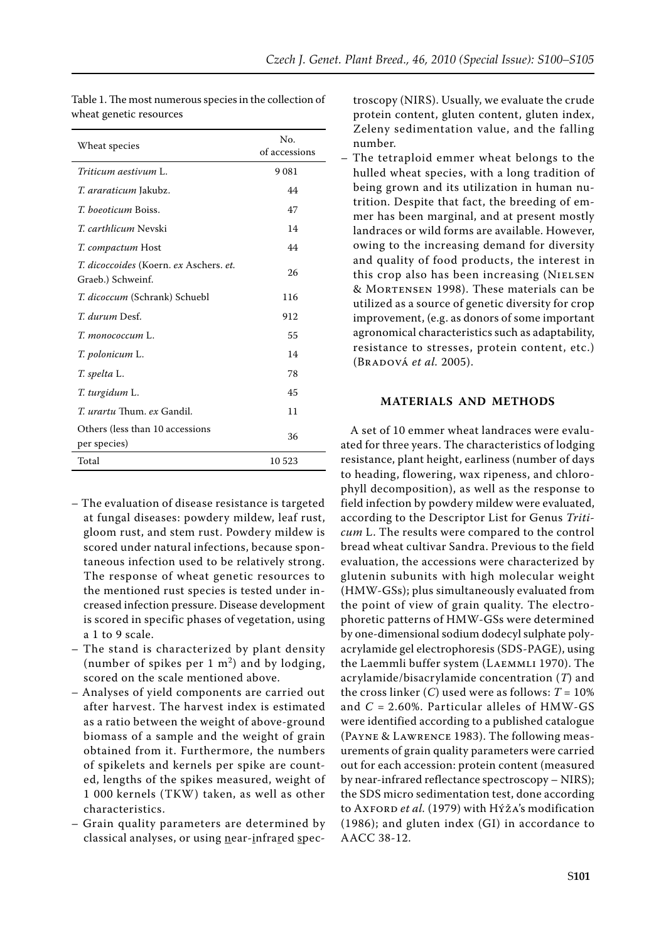| Wheat species                                                                    | No.           |
|----------------------------------------------------------------------------------|---------------|
|                                                                                  | of accessions |
| Triticum aestivum L.                                                             | 9081          |
| <i>T. araraticum</i> Jakubz.                                                     | 44            |
| <i>T. boeoticum</i> Boiss.                                                       | 47            |
| <i>T. carthlicum</i> Nevski                                                      | 14            |
| <i>T. compactum</i> Host                                                         | 44            |
| <i>T. dicoccoides</i> (Koern. <i>ex</i> Aschers. <i>et.</i><br>Graeb.) Schweinf. | 26            |
| T. dicoccum (Schrank) Schuebl                                                    | 116           |
| <i>T. durum</i> Desf.                                                            | 912           |
| <i>T. топососсит</i> L.                                                          | 55            |
| T. polonicum L.                                                                  | 14            |
| T. spelta L.                                                                     | 78            |
| T. turgidum L.                                                                   | 45            |
| T. urartu Thum. ex Gandil.                                                       | 11            |
| Others (less than 10 accessions<br>per species)                                  | 36            |
| Total                                                                            | 10 523        |

Table 1. The most numerous species in the collection of wheat genetic resources

- The evaluation of disease resistance is targeted at fungal diseases: powdery mildew, leaf rust, gloom rust, and stem rust. Powdery mildew is scored under natural infections, because spontaneous infection used to be relatively strong. The response of wheat genetic resources to the mentioned rust species is tested under increased infection pressure. Disease development is scored in specific phases of vegetation, using a 1 to 9 scale.
- The stand is characterized by plant density (number of spikes per  $1 \text{ m}^2$ ) and by lodging, scored on the scale mentioned above.
- Analyses of yield components are carried out after harvest. The harvest index is estimated as a ratio between the weight of above-ground biomass of a sample and the weight of grain obtained from it. Furthermore, the numbers of spikelets and kernels per spike are counted, lengths of the spikes measured, weight of 1 000 kernels (TKW) taken, as well as other characteristics.
- Grain quality parameters are determined by classical analyses, or using near-infrared spec-

troscopy (NIRS). Usually, we evaluate the crude protein content, gluten content, gluten index, Zeleny sedimentation value, and the falling number.

– The tetraploid emmer wheat belongs to the hulled wheat species, with a long tradition of being grown and its utilization in human nutrition. Despite that fact, the breeding of emmer has been marginal, and at present mostly landraces or wild forms are available. However, owing to the increasing demand for diversity and quality of food products, the interest in this crop also has been increasing (NIELSEN & Mortensen 1998). These materials can be utilized as a source of genetic diversity for crop improvement, (e.g. as donors of some important agronomical characteristics such as adaptability, resistance to stresses, protein content, etc.) (Bradová *et al.* 2005).

#### **MATERIALS AND METHODS**

A set of 10 emmer wheat landraces were evaluated for three years. The characteristics of lodging resistance, plant height, earliness (number of days to heading, flowering, wax ripeness, and chlorophyll decomposition), as well as the response to field infection by powdery mildew were evaluated, according to the Descriptor List for Genus *Triticum* L. The results were compared to the control bread wheat cultivar Sandra. Previous to the field evaluation, the accessions were characterized by glutenin subunits with high molecular weight (HMW-GSs); plus simultaneously evaluated from the point of view of grain quality. The electrophoretic patterns of HMW-GSs were determined by one-dimensional sodium dodecyl sulphate polyacrylamide gel electrophoresis (SDS-PAGE), using the Laemmli buffer system (Laemmli 1970). The acrylamide/bisacrylamide concentration (*T*) and the cross linker  $(C)$  used were as follows:  $T = 10\%$ and *C* = 2.60%. Particular alleles of HMW-GS were identified according to a published catalogue (Payne & Lawrence 1983). The following measurements of grain quality parameters were carried out for each accession: protein content (measured by near-infrared reflectance spectroscopy – NIRS); the SDS micro sedimentation test, done according to Axford *et al.* (1979) with Hýža's modification (1986); and gluten index (GI) in accordance to AACC 38-12.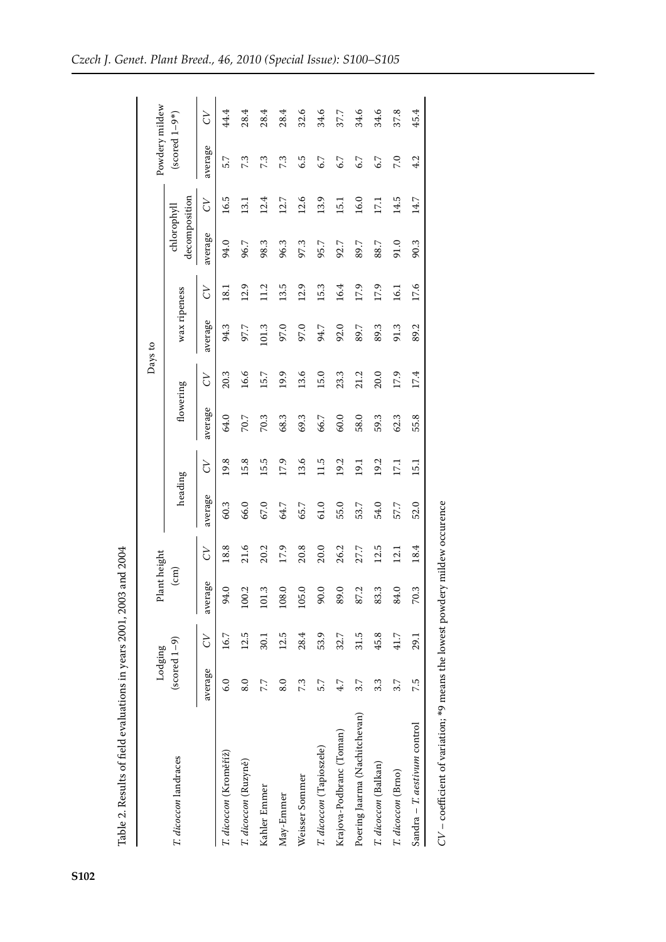|                               | Lodging                             |      | Plant height    |      |         |        |           |      | Days to      |        |                              |      | Powdery mildew  |        |
|-------------------------------|-------------------------------------|------|-----------------|------|---------|--------|-----------|------|--------------|--------|------------------------------|------|-----------------|--------|
| T. dicoccon landraces         | $\left(\text{sorted } 1 - 9\right)$ |      | $\binom{cm}{ }$ |      | heading |        | flowering |      | wax ripeness |        | decomposition<br>chlorophyll |      | $(scored 1-9*)$ |        |
|                               | average                             | 5)   | average         | 5)   | average | 5<br>C | average   | 5)   | average      | 5<br>C | average                      | 5)   | average         | 5<br>C |
| T. dicoccon (Kroměříž)        | 6.0                                 | 16.7 | 94.0            | 18.8 | 60.3    | 19.8   | 64.0      | 20.3 | 94.3         | 18.1   | 94.0                         | 16.5 | 5.7             | 44.4   |
| T. dicoccon (Ruzyně)          | 8.0                                 | 12.5 | 100.2           | 21.6 | 66.0    | 15.8   | 70.7      | 16.6 | 97.7         | 12.9   | 96.7                         | 13.1 | 7.3             | 28.4   |
| Kahler Emmer                  | 7.7                                 | 30.1 | 101.3           | 20.2 | 67.0    | 15.5   | 70.3      | 15.7 | 101.3        | 11.2   | 98.3                         | 12.4 | 7.3             | 28.4   |
| May-Emmer                     | 8.0                                 | 12.5 | 108.0           | 17.9 | 64.7    | 17.9   | 68.3      | 19.9 | 97.0         | 13.5   | 96.3                         | 12.7 | 7.3             | 28.4   |
| Weisser Sommer                | 7.3                                 | 28.4 | 105.0           | 20.8 | 65.7    | 13.6   | 69.3      | 13.6 | 97.0         | 12.9   | 97.3                         | 12.6 | 6.5             | 32.6   |
| T. dicoccon (Tapioszele)      | 5.7                                 | 53.9 | 90.0            | 20.0 | 61.0    | 11.5   | 66.7      | 15.0 | 94.7         | 15.3   | 95.7                         | 13.9 | 6.7             | 34.6   |
| Krajova-Podbranc (Toman)      | 4.7                                 | 32.7 | 89.0            | 26.2 | 55.0    | 19.2   | 60.0      | 23.3 | 92.0         | 16.4   | 92.7                         | 15.1 | 6.7             | 37.7   |
| Poering Jaarma (Nachitchevan) | 3.7                                 | 31.5 | 87.2            | 27.7 | 53.7    | 19.1   | 58.0      | 21.2 | 89.7         | 17.9   | 89.7                         | 16.0 | 6.7             | 34.6   |
| T. dicoccon (Balkan)          | 3.3                                 | 45.8 | 83.3            | 12.5 | 54.0    | 19.2   | 59.3      | 20.0 | 89.3         | 17.9   | 88.7                         | 17,1 | 6.7             | 34.6   |
| T. dicoccon (Brno)            | 3.7                                 | 41.7 | 84.0            | 12.1 | 57.7    | 17.1   | 62.3      | 17.9 | 91.3         | 16.1   | 91.0                         | 14.5 | 7.0             | 37.8   |
| Sandra - T. aestivum control  | 7.5                                 | 29.1 | 70.3            | 18.4 | 52.0    | 15.1   | 55.8      | 17.4 | 89.2         | 17.6   | 90.3                         | 14.7 | 4.2             | 45.4   |

Table 2. Results of field evaluations in years 2001, 2003 and 2004 Table 2. Results of field evaluations in years 2001, 2003 and 2004

**S102**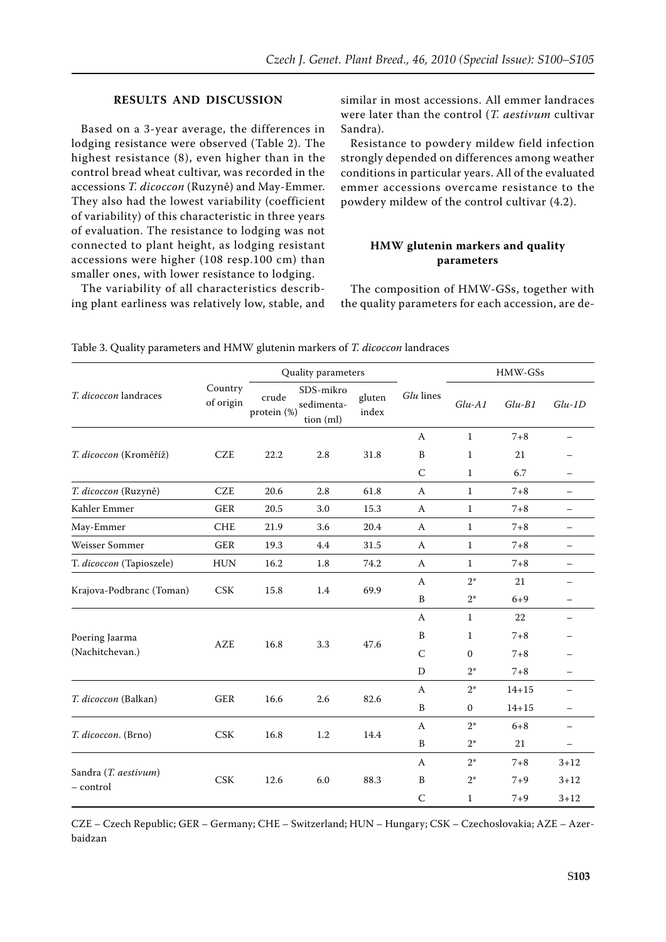### **RESULTS AND DISCUSSION**

Based on a 3-year average, the differences in lodging resistance were observed (Table 2). The highest resistance (8), even higher than in the control bread wheat cultivar, was recorded in the accessions *T. dicoccon* (Ruzyně) and May-Emmer. They also had the lowest variability (coefficient of variability) of this characteristic in three years of evaluation. The resistance to lodging was not connected to plant height, as lodging resistant accessions were higher (108 resp.100 cm) than smaller ones, with lower resistance to lodging.

The variability of all characteristics describing plant earliness was relatively low, stable, and similar in most accessions. All emmer landraces were later than the control (*T. aestivum* cultivar Sandra).

Resistance to powdery mildew field infection strongly depended on differences among weather conditions in particular years. All of the evaluated emmer accessions overcame resistance to the powdery mildew of the control cultivar (4.2).

## **HMW glutenin markers and quality parameters**

The composition of HMW-GSs, together with the quality parameters for each accession, are de-

|                                   |                      | Quality parameters   |                                      |                 |                          | HMW-GSs      |           |                          |
|-----------------------------------|----------------------|----------------------|--------------------------------------|-----------------|--------------------------|--------------|-----------|--------------------------|
| T. dicoccon landraces             | Country<br>of origin | crude<br>protein (%) | SDS-mikro<br>sedimenta-<br>tion (ml) | gluten<br>index | Glu lines                | $Glu-A1$     | $Glu-B1$  | $Glu-1D$                 |
|                                   |                      |                      |                                      |                 | $\mathbf{A}$             | $\mathbf{1}$ | $7 + 8$   |                          |
| T. dicoccon (Kroměříž)            | <b>CZE</b>           | 22.2                 | 2.8                                  | 31.8            | B                        | $\mathbf{1}$ | 21        |                          |
|                                   |                      |                      |                                      |                 | $\mathcal{C}$            | $\mathbf{1}$ | 6.7       | $\overline{\phantom{0}}$ |
| T. dicoccon (Ruzyně)              | <b>CZE</b>           | 20.6                 | 2.8                                  | 61.8            | A                        | $\mathbf{1}$ | $7 + 8$   | $-$                      |
| Kahler Emmer                      | <b>GER</b>           | 20.5                 | 3.0                                  | 15.3            | A                        | $\mathbf{1}$ | $7 + 8$   | $\overline{\phantom{0}}$ |
| May-Emmer                         | <b>CHE</b>           | 21.9                 | 3.6                                  | 20.4            | A                        | $\mathbf{1}$ | $7 + 8$   | $\qquad \qquad -$        |
| Weisser Sommer                    | <b>GER</b>           | 19.3                 | 4.4                                  | 31.5            | A                        | $\mathbf{1}$ | $7 + 8$   | $\overline{\phantom{0}}$ |
| T. dicoccon (Tapioszele)          | <b>HUN</b>           | 16.2                 | 1.8                                  | 74.2            | A                        | $\mathbf{1}$ | $7 + 8$   | $\qquad \qquad -$        |
|                                   |                      |                      |                                      | 69.9            | A                        | $2*$         | 21        | $\qquad \qquad -$        |
| Krajova-Podbranc (Toman)          | <b>CSK</b>           | 15.8                 | 1.4                                  |                 | $\, {\bf B}$             | $2*$         | $6 + 9$   | $\overline{\phantom{0}}$ |
|                                   | <b>AZE</b>           | 16.8                 | 3.3                                  |                 | A                        | $\mathbf{1}$ | 22        | $\overline{\phantom{0}}$ |
| Poering Jaarma<br>(Nachitchevan.) |                      |                      |                                      |                 | B                        | $\mathbf 1$  | $7 + 8$   |                          |
|                                   |                      |                      |                                      | 47.6            | $\mathsf C$              | $\mathbf{0}$ | $7 + 8$   |                          |
|                                   |                      |                      |                                      |                 | D                        | $2^*$        | $7 + 8$   | $\overline{\phantom{0}}$ |
| T. dicoccon (Balkan)              |                      |                      | 2.6                                  | 82.6            | $\mathbf{A}$             | $2*$         | $14 + 15$ | $\equiv$                 |
|                                   | ${\tt GER}$          | 16.6                 |                                      |                 | $\, {\bf B}$             | $\mathbf{0}$ | $14 + 15$ | $\overline{\phantom{0}}$ |
|                                   |                      | $2*$<br>$\mathsf{A}$ |                                      | $6 + 8$         | $\overline{\phantom{0}}$ |              |           |                          |
| T. dicoccon. (Brno)               | CSK                  | 16.8                 | 1.2                                  | 14.4            | $\, {\bf B}$             | $2*$         | 21        | $\overline{\phantom{0}}$ |
|                                   | <b>CSK</b>           | 12.6                 | 6.0                                  | 88.3            | A                        | $2*$         | $7 + 8$   | $3 + 12$                 |
| Sandra (T. aestivum)              |                      |                      |                                      |                 | B                        | $2^*$        | $7 + 9$   | $3 + 12$                 |
| - control                         |                      |                      |                                      |                 | $\mathsf C$              | $\mathbf{1}$ | $7 + 9$   | $3 + 12$                 |

Table 3. Quality parameters and HMW glutenin markers of *T. dicoccon* landraces

CZE – Czech Republic; GER – Germany; CHE – Switzerland; HUN – Hungary; CSK – Czechoslovakia; AZE – Azerbaidzan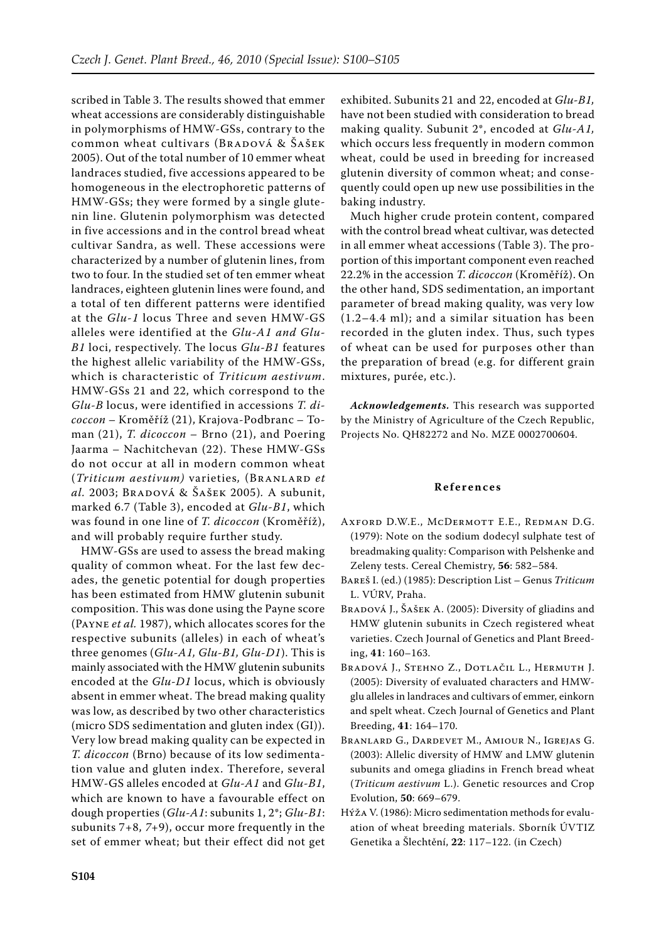scribed in Table 3. The results showed that emmer wheat accessions are considerably distinguishable in polymorphisms of HMW-GSs, contrary to the common wheat cultivars (BRADOVÁ & ŠAŠEK 2005). Out of the total number of 10 emmer wheat landraces studied, five accessions appeared to be homogeneous in the electrophoretic patterns of HMW-GSs; they were formed by a single glutenin line. Glutenin polymorphism was detected in five accessions and in the control bread wheat cultivar Sandra, as well. These accessions were characterized by a number of glutenin lines, from two to four. In the studied set of ten emmer wheat landraces, eighteen glutenin lines were found, and a total of ten different patterns were identified at the *Glu-1* locus Three and seven HMW-GS alleles were identified at the *Glu-A1 and Glu-B1* loci, respectively. The locus *Glu-B1* features the highest allelic variability of the HMW-GSs, which is characteristic of *Triticum aestivum*. HMW-GSs 21 and 22, which correspond to the *Glu-B* locus, were identified in accessions *T. dicoccon* – Kroměříž (21), Krajova-Podbranc – Toman (21), *T. dicoccon* – Brno (21), and Poering Jaarma – Nachitchevan (22). These HMW-GSs do not occur at all in modern common wheat (*Triticum aestivum)* varieties*,* (Branlard *et al.* 2003; Bradová & Šašek 2005)*.* A subunit, marked 6.7 (Table 3), encoded at *Glu-B1*, which was found in one line of *T. dicoccon* (Kroměříž), and will probably require further study.

HMW-GSs are used to assess the bread making quality of common wheat. For the last few decades, the genetic potential for dough properties has been estimated from HMW glutenin subunit composition. This was done using the Payne score (Payne *et al.* 1987), which allocates scores for the respective subunits (alleles) in each of wheat's three genomes (*Glu-A1, Glu-B1, Glu-D1*). This is mainly associated with the HMW glutenin subunits encoded at the *Glu-D1* locus, which is obviously absent in emmer wheat. The bread making quality was low, as described by two other characteristics (micro SDS sedimentation and gluten index (GI)). Very low bread making quality can be expected in *T. dicoccon* (Brno) because of its low sedimentation value and gluten index. Therefore, several HMW-GS alleles encoded at *Glu-A1* and *Glu-B1*, which are known to have a favourable effect on dough properties (*Glu-A1*: subunits 1, 2\*; *Glu-B1*: subunits 7+8, *7*+9), occur more frequently in the set of emmer wheat; but their effect did not get

exhibited. Subunits 21 and 22, encoded at *Glu-B1,* have not been studied with consideration to bread making quality. Subunit 2\*, encoded at *Glu-A1,*  which occurs less frequently in modern common wheat, could be used in breeding for increased glutenin diversity of common wheat; and consequently could open up new use possibilities in the baking industry.

Much higher crude protein content, compared with the control bread wheat cultivar, was detected in all emmer wheat accessions (Table 3). The proportion of this important component even reached 22.2% in the accession *T. dicoccon* (Kroměříž). On the other hand, SDS sedimentation, an important parameter of bread making quality, was very low (1.2–4.4 ml); and a similar situation has been recorded in the gluten index. Thus, such types of wheat can be used for purposes other than the preparation of bread (e.g. for different grain mixtures, purée, etc.).

*Acknowledgements.* This research was supported by the Ministry of Agriculture of the Czech Republic, Projects No. QH82272 and No. MZE 0002700604.

#### **R e f e r e n c e s**

- Axford D.W.E., McDermott E.E., Redman D.G. (1979): Note on the sodium dodecyl sulphate test of breadmaking quality: Comparison with Pelshenke and Zeleny tests. Cereal Chemistry, **56**: 582–584.
- Bareš I. (ed.) (1985): Description List Genus *Triticum* L. VÚRV, Praha.
- Bradová J., Šašek A. (2005): Diversity of gliadins and HMW glutenin subunits in Czech registered wheat varieties. Czech Journal of Genetics and Plant Breeding, **41**: 160–163.
- Bradová J., Stehno Z., Dotlačil L., Hermuth J. (2005): Diversity of evaluated characters and HMWglu alleles in landraces and cultivars of emmer, einkorn and spelt wheat. Czech Journal of Genetics and Plant Breeding, **41**: 164–170.
- Branlard G., Dardevet M., Amiour N., Igrejas G. (2003): Allelic diversity of HMW and LMW glutenin subunits and omega gliadins in French bread wheat (*Triticum aestivum* L.). Genetic resources and Crop Evolution, **50**: 669–679.
- Hýža V. (1986): Micro sedimentation methods for evaluation of wheat breeding materials. Sborník ÚVTIZ Genetika a Šlechtění, **22**: 117–122. (in Czech)